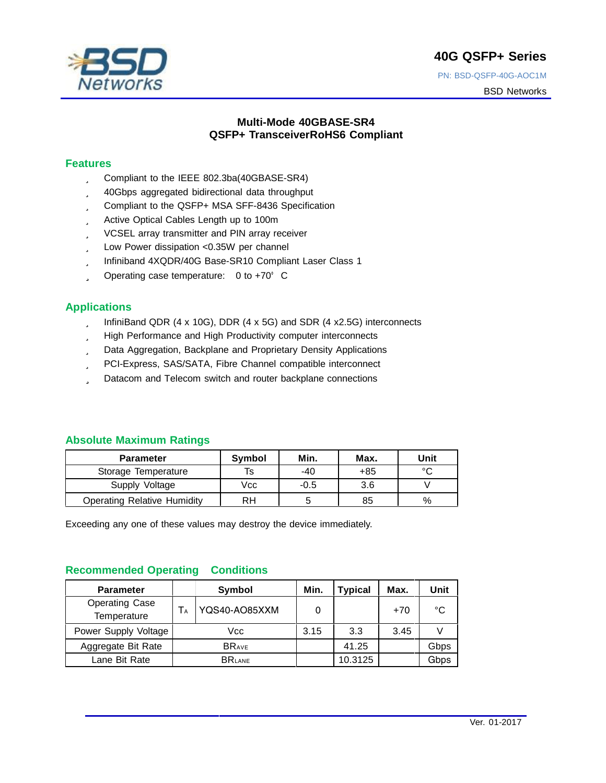# **40G QSFP+ Series**



# PN: BSD-QSFP-40G-AOC1M BSD Networks

# **Multi-Mode 40GBASE-SR4 QSFP+ TransceiverRoHS6 Compliant**

### **Features**

- ü Compliant to the IEEE 802.3ba(40GBASE-SR4)
- ü 40Gbps aggregated bidirectional data throughput
- ü Compliant to the QSFP+ MSA SFF-8436 Specification
- ü Active Optical Cables Length up to 100m
- ü VCSEL array transmitter and PIN array receiver
- ü Low Power dissipation <0.35W per channel
- ü Infiniband 4XQDR/40G Base-SR10 Compliant Laser Class 1
- $\ddot{\mathbf{u}}$  Operating case temperature: 0 to +70 $^{\circ}$  C

# **Applications**

- ü InfiniBand QDR (4 x 10G), DDR (4 x 5G) and SDR (4 x2.5G) interconnects
- ü High Performance and High Productivity computer interconnects
- ü Data Aggregation, Backplane and Proprietary Density Applications
- ü PCI-Express, SAS/SATA, Fibre Channel compatible interconnect
- ü Datacom and Telecom switch and router backplane connections

# **Absolute Maximum Ratings**

| <b>Parameter</b>                   | <b>Symbol</b> | Min.   | Max. | Unit    |
|------------------------------------|---------------|--------|------|---------|
| Storage Temperature                | Is            | $-40$  | +85  | $\circ$ |
| Supply Voltage                     | Vcc           | $-0.5$ | 3.6  |         |
| <b>Operating Relative Humidity</b> | RH            | 5      | 85   | $\%$    |

Exceeding any one of these values may destroy the device immediately.

# **Recommended Operating Conditions**

| <b>Parameter</b>                     |               | Symbol        | Min. | <b>Typical</b> | Max. | Unit |
|--------------------------------------|---------------|---------------|------|----------------|------|------|
| <b>Operating Case</b><br>Temperature |               | YQS40-AO85XXM | 0    |                | +70  | °C   |
| Power Supply Voltage                 |               | Vcc           | 3.15 | 3.3            | 3.45 |      |
| Aggregate Bit Rate                   |               | <b>BRAVE</b>  |      | 41.25          |      | Gbps |
| Lane Bit Rate                        | <b>BRLANE</b> |               |      | 10.3125        |      | Gbps |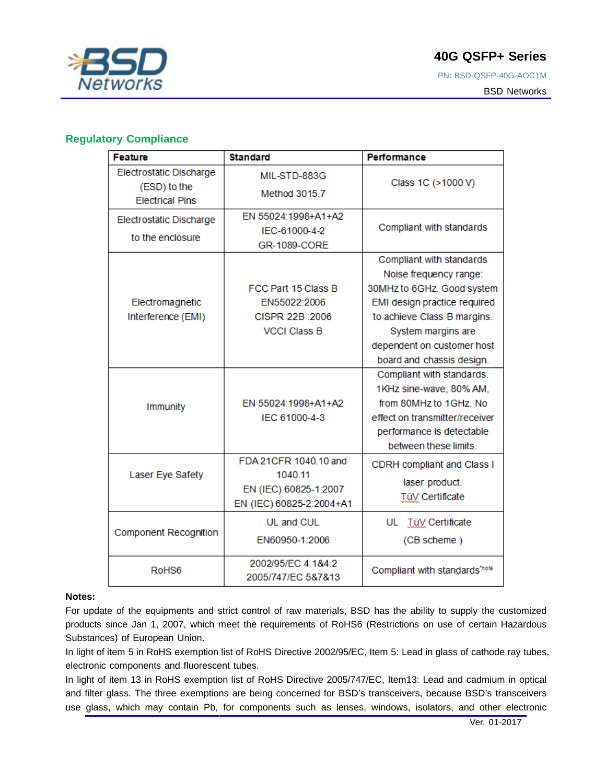

# **Regulatory Compliance**

| <b>Feature</b>                                     | <b>Standard</b>                                                                       | Performance                                                                                                                                                                                                                      |
|----------------------------------------------------|---------------------------------------------------------------------------------------|----------------------------------------------------------------------------------------------------------------------------------------------------------------------------------------------------------------------------------|
| Electrostatic Discharge                            | MIL-STD-883G                                                                          |                                                                                                                                                                                                                                  |
| (ESD) to the<br><b>Electrical Pins</b>             | Method 3015.7                                                                         | Class 1C (>1000 V)                                                                                                                                                                                                               |
| <b>Electrostatic Discharge</b><br>to the enclosure | EN 55024:1998+A1+A2<br>IEC-61000-4-2<br>GR-1089-CORE                                  | Compliant with standards                                                                                                                                                                                                         |
| Electromagnetic<br>Interference (EMI)              | FCC Part 15 Class B<br>EN55022:2006<br>CISPR 22B : 2006<br><b>VCCI Class B</b>        | Compliant with standards<br>Noise frequency range:<br>30MHz to 6GHz. Good system<br>EMI design practice required<br>to achieve Class B margins.<br>System margins are<br>dependent on customer host<br>board and chassis design. |
| <b>Immunity</b>                                    | EN 55024:1998+A1+A2<br>IEC 61000-4-3                                                  | Compliant with standards.<br>1KHz sine-wave, 80% AM,<br>from 80MHz to 1GHz. No<br>effect on transmitter/receiver<br>performance is detectable<br>between these limits.                                                           |
| Laser Eye Safety                                   | FDA 21CFR 1040.10 and<br>1040.11<br>EN (IEC) 60825-1:2007<br>EN (IEC) 60825-2:2004+A1 | <b>CDRH</b> compliant and Class I<br>laser product.<br><b>TüV Certificate</b>                                                                                                                                                    |
| <b>Component Recognition</b>                       | UL and CUL<br>EN60950-1:2006                                                          | UL<br><b>TüV</b> Certificate<br>(CB scheme)                                                                                                                                                                                      |
| RoH <sub>S6</sub>                                  | 2002/95/EC 4.1&4.2<br>2005/747/EC 5&7&13                                              | Compliant with standards'note                                                                                                                                                                                                    |

#### **Notes:**

For update of the equipments and strict control of raw materials, BSD has the ability to supply the customized products since Jan 1, 2007, which meet the requirements of RoHS6 (Restrictions on use of certain Hazardous Substances) of European Union.

In light of item 5 in RoHS exemption list of RoHS Directive 2002/95/EC, Item 5: Lead in glass of cathode ray tubes, electronic components and fluorescent tubes.

In light of item 13 in RoHS exemption list of RoHS Directive 2005/747/EC, Item13: Lead and cadmium in optical and filter glass. The three exemptions are being concerned for BSD's transceivers, because BSD's transceivers use glass, which may contain Pb, for components such as lenses, windows, isolators, and other electronic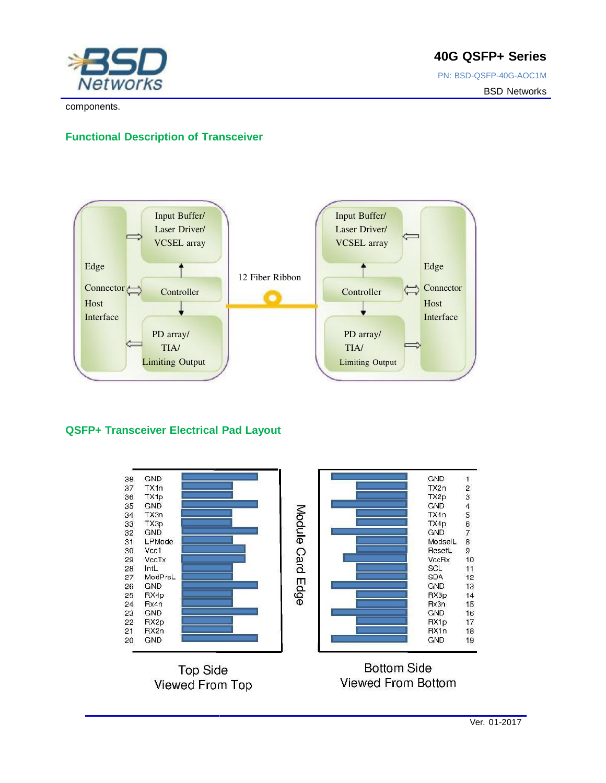

**40G QSFP+ Series** 

PN: BSD-QSFP-40G-AOC1M BSD Networks

components.

# **Functional Description of Transceiver**



# **QSFP+ Transceiver Electrical Pad Layout**

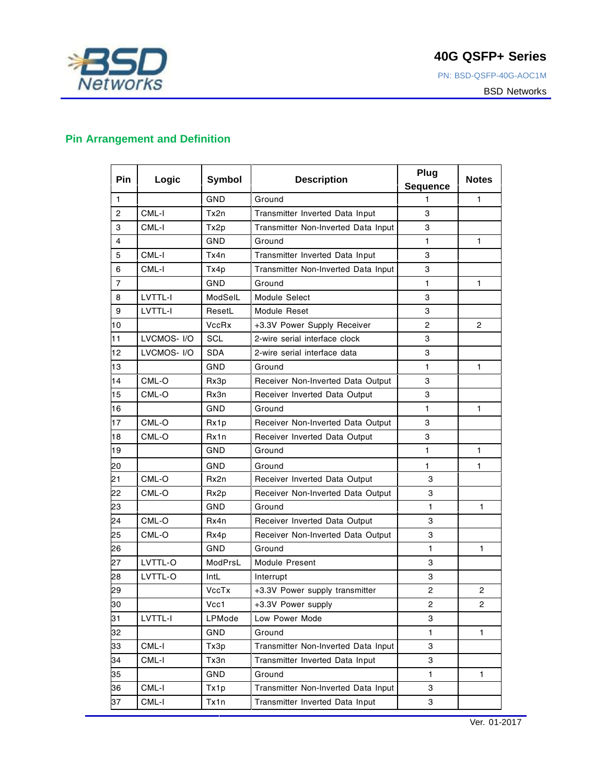

PN: BSD-QSFP-40G-AOC1M

BSD Networks

# **Pin Arrangement and Definition**

| Pin            | Logic       | Symbol       | <b>Description</b>                  | Plug<br>Sequence | <b>Notes</b>   |
|----------------|-------------|--------------|-------------------------------------|------------------|----------------|
| 1              |             | GND          | Ground                              | 1                | 1              |
| 2              | CML-I       | Tx2n         | Transmitter Inverted Data Input     | 3                |                |
| 3              | CML-I       | Tx2p         | Transmitter Non-Inverted Data Input | 3                |                |
| $\overline{4}$ |             | GND          | Ground                              | 1                | 1              |
| 5              | CML-I       | Tx4n         | Transmitter Inverted Data Input     | 3                |                |
| 6              | CML-I       | Tx4p         | Transmitter Non-Inverted Data Input | 3                |                |
| $\overline{7}$ |             | GND          | Ground                              | 1                | 1              |
| 8              | LVTTL-I     | ModSelL      | Module Select                       | 3                |                |
| 9              | LVTTL-I     | ResetL       | Module Reset                        | 3                |                |
| 10             |             | <b>VccRx</b> | +3.3V Power Supply Receiver         | $\overline{c}$   | $\overline{c}$ |
| 11             | LVCMOS- I/O | SCL          | 2-wire serial interface clock       | 3                |                |
| 12             | LVCMOS-I/O  | <b>SDA</b>   | 2-wire serial interface data        | 3                |                |
| 13             |             | GND          | Ground                              | 1                | 1              |
| 14             | CML-O       | Rx3p         | Receiver Non-Inverted Data Output   | 3                |                |
| 15             | CML-O       | Rx3n         | Receiver Inverted Data Output       | 3                |                |
| 16             |             | GND          | Ground                              | 1                | 1              |
| 17             | CML-O       | Rx1p         | Receiver Non-Inverted Data Output   | 3                |                |
| 18             | CML-O       | Rx1n         | Receiver Inverted Data Output       | 3                |                |
| 19             |             | GND          | Ground                              | 1                | 1              |
| 20             |             | GND          | Ground                              | 1                | 1              |
| 21             | CML-O       | Rx2n         | Receiver Inverted Data Output       | 3                |                |
| 22             | CML-O       | Rx2p         | Receiver Non-Inverted Data Output   | 3                |                |
| 23             |             | GND          | Ground                              | 1                | 1              |
| 24             | CML-O       | Rx4n         | Receiver Inverted Data Output       | 3                |                |
| 25             | CML-O       | Rx4p         | Receiver Non-Inverted Data Output   | 3                |                |
| 26             |             | <b>GND</b>   | Ground                              | 1                | 1              |
| 27             | LVTTL-O     | ModPrsL      | Module Present                      | 3                |                |
| 28             | LVTTL-O     | IntL         | Interrupt                           | 3                |                |
| 29             |             | VccTx        | +3.3V Power supply transmitter      | $\overline{2}$   | $\overline{2}$ |
| 30             |             | Vcc1         | +3.3V Power supply                  | $\overline{c}$   | $\overline{c}$ |
| 31             | LVTTL-I     | LPMode       | Low Power Mode                      | 3                |                |
| 32             |             | GND          | Ground                              | $\mathbf{1}$     | 1              |
| 33             | CML-I       | Tx3p         | Transmitter Non-Inverted Data Input | 3                |                |
| 34             | CML-I       | Tx3n         | Transmitter Inverted Data Input     | 3                |                |
| 35             |             | GND          | Ground                              | 1.               | 1              |
| 36             | CML-I       | Tx1p         | Transmitter Non-Inverted Data Input | 3                |                |
| 37             | CML-I       | Tx1n         | Transmitter Inverted Data Input     | 3                |                |

**4** Ver. 01-2017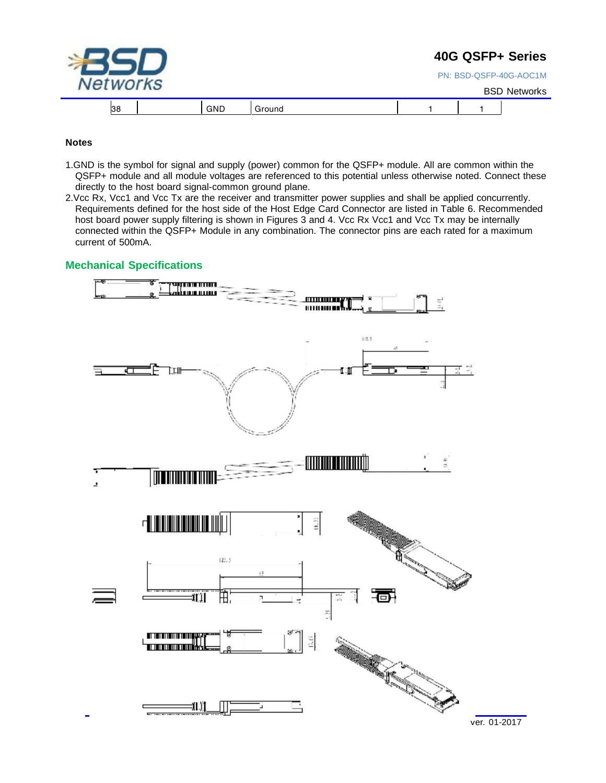|                 |            |        |  | 40G QSFP+ Series       |
|-----------------|------------|--------|--|------------------------|
| <b>Networks</b> |            |        |  | PN: BSD-QSFP-40G-AOC1M |
|                 |            |        |  | <b>BSD Networks</b>    |
| 38              | <b>GND</b> | Ground |  |                        |

#### **Notes**

- 1.GND is the symbol for signal and supply (power) common for the QSFP+ module. All are common within the QSFP+ module and all module voltages are referenced to this potential unless otherwise noted. Connect these directly to the host board signal-common ground plane.
- 2.Vcc Rx, Vcc1 and Vcc Tx are the receiver and transmitter power supplies and shall be applied concurrently. Requirements defined for the host side of the Host Edge Card Connector are listed in Table 6. Recommended host board power supply filtering is shown in Figures 3 and 4. Vcc Rx Vcc1 and Vcc Tx may be internally connected within the QSFP+ Module in any combination. The connector pins are each rated for a maximum current of 500mA.

### **Mechanical Specifications**